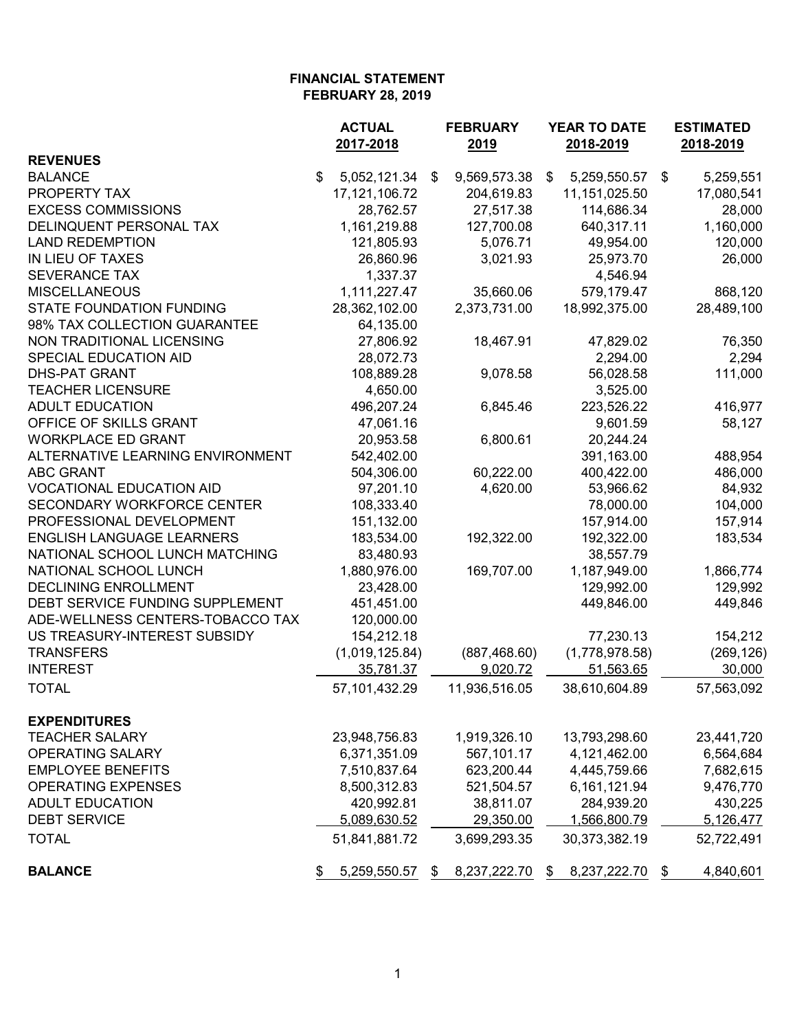|                                  | <b>ACTUAL</b>      | <b>FEBRUARY</b>    | YEAR TO DATE       | <b>ESTIMATED</b> |
|----------------------------------|--------------------|--------------------|--------------------|------------------|
| <b>REVENUES</b>                  | 2017-2018          | 2019               | 2018-2019          | 2018-2019        |
| <b>BALANCE</b>                   | \$<br>5,052,121.34 | 9,569,573.38<br>\$ | 5,259,550.57<br>\$ | 5,259,551<br>\$  |
| PROPERTY TAX                     | 17, 121, 106. 72   | 204,619.83         | 11,151,025.50      | 17,080,541       |
| <b>EXCESS COMMISSIONS</b>        | 28,762.57          | 27,517.38          | 114,686.34         | 28,000           |
| DELINQUENT PERSONAL TAX          | 1,161,219.88       | 127,700.08         | 640,317.11         | 1,160,000        |
| <b>LAND REDEMPTION</b>           | 121,805.93         | 5,076.71           | 49,954.00          | 120,000          |
| IN LIEU OF TAXES                 | 26,860.96          | 3,021.93           | 25,973.70          | 26,000           |
| <b>SEVERANCE TAX</b>             | 1,337.37           |                    | 4,546.94           |                  |
| <b>MISCELLANEOUS</b>             | 1,111,227.47       | 35,660.06          | 579,179.47         | 868,120          |
| <b>STATE FOUNDATION FUNDING</b>  | 28,362,102.00      | 2,373,731.00       | 18,992,375.00      | 28,489,100       |
| 98% TAX COLLECTION GUARANTEE     | 64,135.00          |                    |                    |                  |
| NON TRADITIONAL LICENSING        | 27,806.92          | 18,467.91          | 47,829.02          | 76,350           |
| SPECIAL EDUCATION AID            | 28,072.73          |                    | 2,294.00           | 2,294            |
| <b>DHS-PAT GRANT</b>             | 108,889.28         | 9,078.58           | 56,028.58          | 111,000          |
| <b>TEACHER LICENSURE</b>         | 4,650.00           |                    | 3,525.00           |                  |
| <b>ADULT EDUCATION</b>           | 496,207.24         | 6,845.46           | 223,526.22         | 416,977          |
| OFFICE OF SKILLS GRANT           | 47,061.16          |                    | 9,601.59           | 58,127           |
| <b>WORKPLACE ED GRANT</b>        | 20,953.58          | 6,800.61           | 20,244.24          |                  |
| ALTERNATIVE LEARNING ENVIRONMENT | 542,402.00         |                    | 391,163.00         | 488,954          |
| <b>ABC GRANT</b>                 | 504,306.00         | 60,222.00          | 400,422.00         | 486,000          |
| <b>VOCATIONAL EDUCATION AID</b>  | 97,201.10          | 4,620.00           | 53,966.62          | 84,932           |
| SECONDARY WORKFORCE CENTER       | 108,333.40         |                    | 78,000.00          | 104,000          |
| PROFESSIONAL DEVELOPMENT         | 151,132.00         |                    | 157,914.00         | 157,914          |
| <b>ENGLISH LANGUAGE LEARNERS</b> | 183,534.00         | 192,322.00         | 192,322.00         | 183,534          |
| NATIONAL SCHOOL LUNCH MATCHING   | 83,480.93          |                    | 38,557.79          |                  |
| NATIONAL SCHOOL LUNCH            | 1,880,976.00       | 169,707.00         | 1,187,949.00       | 1,866,774        |
| <b>DECLINING ENROLLMENT</b>      | 23,428.00          |                    | 129,992.00         | 129,992          |
| DEBT SERVICE FUNDING SUPPLEMENT  | 451,451.00         |                    | 449,846.00         | 449,846          |
| ADE-WELLNESS CENTERS-TOBACCO TAX | 120,000.00         |                    |                    |                  |
| US TREASURY-INTEREST SUBSIDY     | 154,212.18         |                    | 77,230.13          | 154,212          |
| <b>TRANSFERS</b>                 | (1,019,125.84)     | (887, 468.60)      | (1,778,978.58)     | (269, 126)       |
| <b>INTEREST</b>                  | 35,781.37          | 9,020.72           | 51,563.65          | 30,000           |
| <b>TOTAL</b>                     | 57,101,432.29      | 11,936,516.05      | 38,610,604.89      | 57,563,092       |
| <b>EXPENDITURES</b>              |                    |                    |                    |                  |
| <b>TEACHER SALARY</b>            | 23,948,756.83      | 1,919,326.10       | 13,793,298.60      | 23,441,720       |
| <b>OPERATING SALARY</b>          | 6,371,351.09       | 567,101.17         | 4,121,462.00       | 6,564,684        |
| <b>EMPLOYEE BENEFITS</b>         | 7,510,837.64       | 623,200.44         | 4,445,759.66       | 7,682,615        |
| <b>OPERATING EXPENSES</b>        | 8,500,312.83       | 521,504.57         | 6,161,121.94       | 9,476,770        |
| <b>ADULT EDUCATION</b>           | 420,992.81         | 38,811.07          | 284,939.20         | 430,225          |
| <b>DEBT SERVICE</b>              | 5,089,630.52       | 29,350.00          | 1,566,800.79       | 5,126,477        |
| <b>TOTAL</b>                     | 51,841,881.72      | 3,699,293.35       | 30,373,382.19      | 52,722,491       |
| <b>BALANCE</b>                   | 5,259,550.57       | 8,237,222.70<br>\$ | 8,237,222.70<br>\$ | 4,840,601<br>\$  |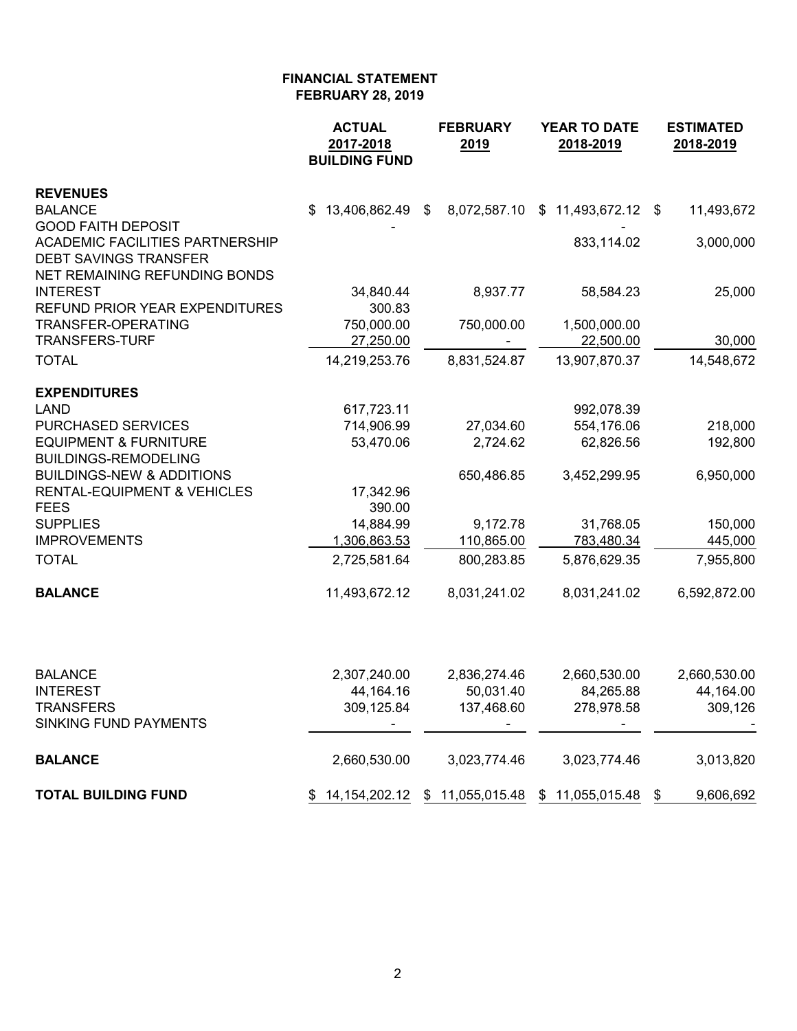|                                                                     | <b>ACTUAL</b><br>2017-2018<br><b>BUILDING FUND</b> | <b>FEBRUARY</b><br>2019 | <b>YEAR TO DATE</b><br>2018-2019                   | <b>ESTIMATED</b><br>2018-2019 |
|---------------------------------------------------------------------|----------------------------------------------------|-------------------------|----------------------------------------------------|-------------------------------|
| <b>REVENUES</b>                                                     |                                                    |                         |                                                    |                               |
| <b>BALANCE</b>                                                      | 13,406,862.49 \$<br>S.                             |                         | 8,072,587.10 \$ 11,493,672.12 \$                   | 11,493,672                    |
| <b>GOOD FAITH DEPOSIT</b><br><b>ACADEMIC FACILITIES PARTNERSHIP</b> |                                                    |                         | 833,114.02                                         | 3,000,000                     |
| <b>DEBT SAVINGS TRANSFER</b>                                        |                                                    |                         |                                                    |                               |
| NET REMAINING REFUNDING BONDS                                       |                                                    |                         |                                                    |                               |
| <b>INTEREST</b>                                                     | 34,840.44                                          | 8,937.77                | 58,584.23                                          | 25,000                        |
| REFUND PRIOR YEAR EXPENDITURES                                      | 300.83                                             |                         |                                                    |                               |
| TRANSFER-OPERATING                                                  | 750,000.00                                         | 750,000.00              | 1,500,000.00                                       |                               |
| <b>TRANSFERS-TURF</b>                                               | 27,250.00                                          |                         | 22,500.00                                          | 30,000                        |
| <b>TOTAL</b>                                                        | 14,219,253.76                                      | 8,831,524.87            | 13,907,870.37                                      | 14,548,672                    |
| <b>EXPENDITURES</b>                                                 |                                                    |                         |                                                    |                               |
| <b>LAND</b>                                                         | 617,723.11                                         |                         | 992,078.39                                         |                               |
| <b>PURCHASED SERVICES</b>                                           | 714,906.99                                         | 27,034.60               | 554,176.06                                         | 218,000                       |
| <b>EQUIPMENT &amp; FURNITURE</b>                                    | 53,470.06                                          | 2,724.62                | 62,826.56                                          | 192,800                       |
| <b>BUILDINGS-REMODELING</b>                                         |                                                    |                         |                                                    |                               |
| <b>BUILDINGS-NEW &amp; ADDITIONS</b>                                |                                                    | 650,486.85              | 3,452,299.95                                       | 6,950,000                     |
| <b>RENTAL-EQUIPMENT &amp; VEHICLES</b>                              | 17,342.96                                          |                         |                                                    |                               |
| <b>FEES</b><br><b>SUPPLIES</b>                                      | 390.00                                             |                         |                                                    |                               |
| <b>IMPROVEMENTS</b>                                                 | 14,884.99<br>1,306,863.53                          | 9,172.78<br>110,865.00  | 31,768.05<br>783,480.34                            | 150,000<br>445,000            |
| <b>TOTAL</b>                                                        | 2,725,581.64                                       | 800,283.85              | 5,876,629.35                                       | 7,955,800                     |
|                                                                     |                                                    |                         |                                                    |                               |
| <b>BALANCE</b>                                                      | 11,493,672.12                                      | 8,031,241.02            | 8,031,241.02                                       | 6,592,872.00                  |
|                                                                     |                                                    |                         |                                                    |                               |
| <b>BALANCE</b>                                                      | 2,307,240.00                                       | 2,836,274.46            | 2,660,530.00                                       | 2,660,530.00                  |
| <b>INTEREST</b>                                                     | 44,164.16                                          | 50,031.40               | 84,265.88                                          | 44,164.00                     |
| TRANSFERS                                                           | 309,125.84                                         | 137,468.60              | 278,978.58                                         | 309,126                       |
| <b>SINKING FUND PAYMENTS</b>                                        |                                                    |                         |                                                    |                               |
| <b>BALANCE</b>                                                      | 2,660,530.00                                       | 3,023,774.46            | 3,023,774.46                                       | 3,013,820                     |
| <b>TOTAL BUILDING FUND</b>                                          |                                                    |                         | \$ 14,154,202.12 \$ 11,055,015.48 \$ 11,055,015.48 | 9,606,692<br>\$               |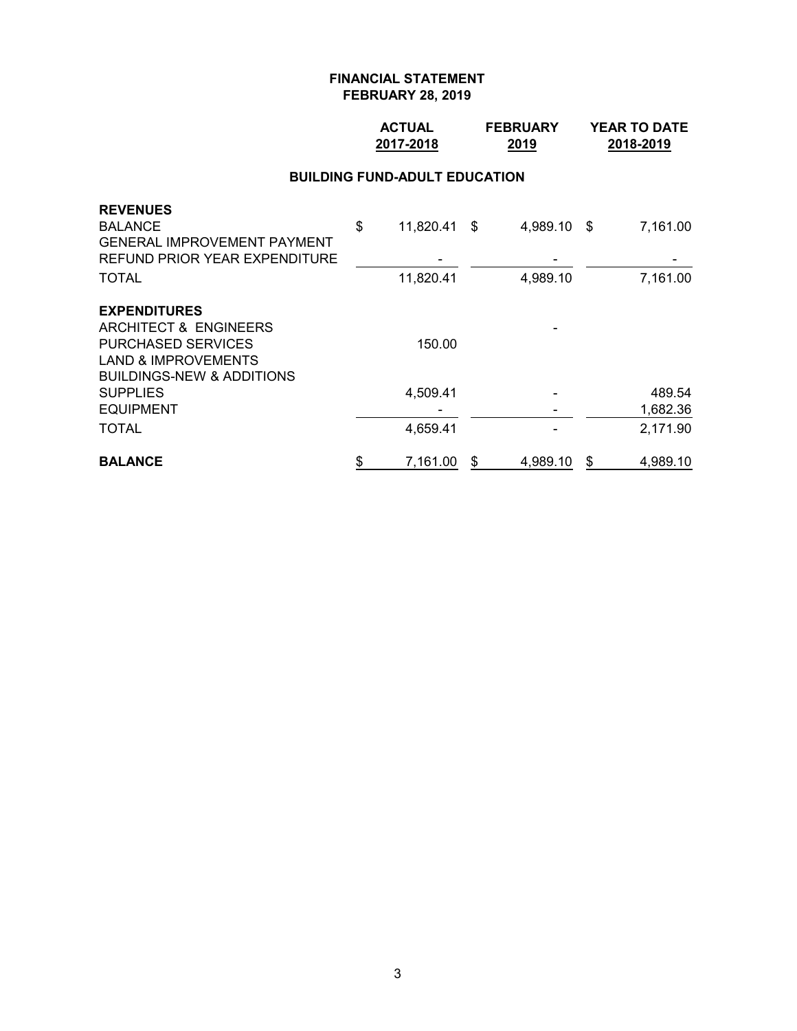## **ACTUAL FEBRUARY YEAR TO DATE 2017-2018 2019 2018-2019**

#### **BUILDING FUND-ADULT EDUCATION**

| <b>BALANCE</b>                       | \$<br>7,161.00     | S | 4,989.10    | \$<br>4,989.10 |
|--------------------------------------|--------------------|---|-------------|----------------|
| <b>TOTAL</b>                         | 4,659.41           |   |             | 2,171.90       |
| <b>EQUIPMENT</b>                     |                    |   |             | 1,682.36       |
| <b>SUPPLIES</b>                      | 4,509.41           |   |             | 489.54         |
| <b>BUILDINGS-NEW &amp; ADDITIONS</b> |                    |   |             |                |
| <b>LAND &amp; IMPROVEMENTS</b>       |                    |   |             |                |
| <b>PURCHASED SERVICES</b>            | 150.00             |   |             |                |
| ARCHITECT & ENGINEERS                |                    |   |             |                |
| <b>EXPENDITURES</b>                  |                    |   |             |                |
| <b>TOTAL</b>                         | 11,820.41          |   | 4,989.10    | 7,161.00       |
| REFUND PRIOR YEAR EXPENDITURE        |                    |   |             |                |
| <b>GENERAL IMPROVEMENT PAYMENT</b>   |                    |   |             |                |
| <b>REVENUES</b><br><b>BALANCE</b>    | \$<br>11,820.41 \$ |   | 4,989.10 \$ | 7,161.00       |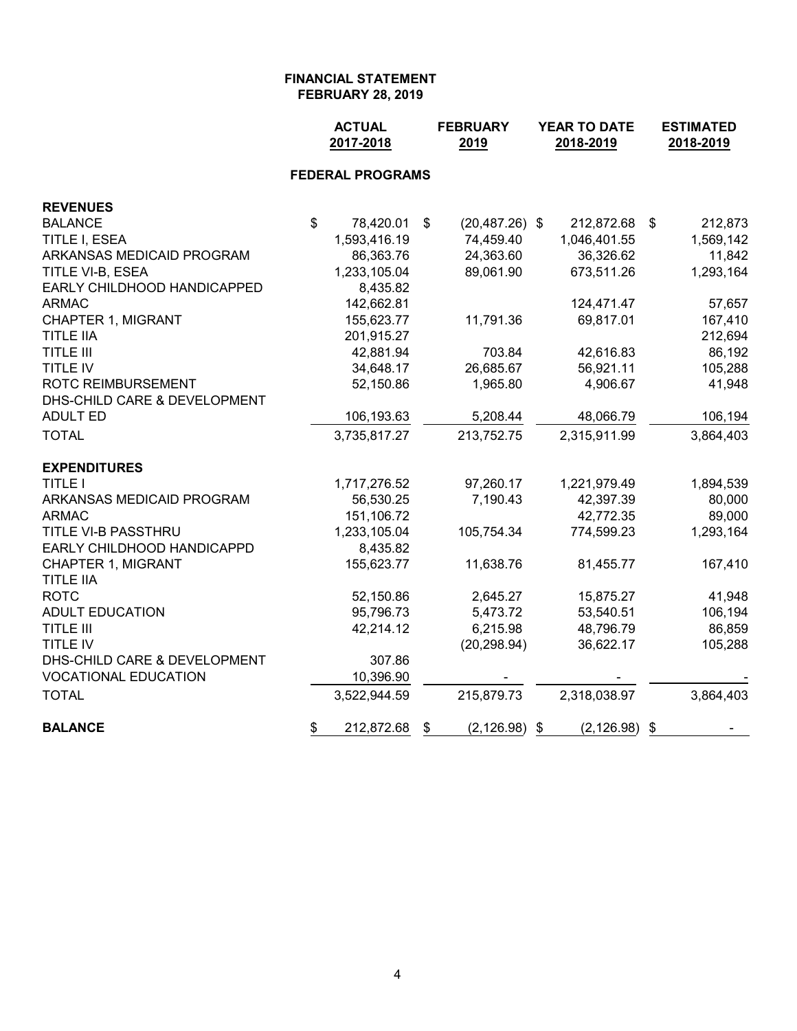|                              |                           | <b>ACTUAL</b><br>2017-2018 |                           | <b>FEBRUARY</b><br>2019 | YEAR TO DATE<br>2018-2019 |              |    | <b>ESTIMATED</b><br>2018-2019 |
|------------------------------|---------------------------|----------------------------|---------------------------|-------------------------|---------------------------|--------------|----|-------------------------------|
|                              |                           | <b>FEDERAL PROGRAMS</b>    |                           |                         |                           |              |    |                               |
| <b>REVENUES</b>              |                           |                            |                           |                         |                           |              |    |                               |
| <b>BALANCE</b>               | $\boldsymbol{\mathsf{s}}$ | 78,420.01                  | $\boldsymbol{\mathsf{s}}$ | $(20, 487.26)$ \$       |                           | 212,872.68   | \$ | 212,873                       |
| TITLE I, ESEA                |                           | 1,593,416.19               |                           | 74,459.40               |                           | 1,046,401.55 |    | 1,569,142                     |
| ARKANSAS MEDICAID PROGRAM    |                           | 86,363.76                  |                           | 24,363.60               |                           | 36,326.62    |    | 11,842                        |
| TITLE VI-B, ESEA             |                           | 1,233,105.04               |                           | 89,061.90               |                           | 673,511.26   |    | 1,293,164                     |
| EARLY CHILDHOOD HANDICAPPED  |                           | 8,435.82                   |                           |                         |                           |              |    |                               |
| <b>ARMAC</b>                 |                           | 142,662.81                 |                           |                         |                           | 124,471.47   |    | 57,657                        |
| CHAPTER 1, MIGRANT           |                           | 155,623.77                 |                           | 11,791.36               |                           | 69,817.01    |    | 167,410                       |
| <b>TITLE IIA</b>             |                           | 201,915.27                 |                           |                         |                           |              |    | 212,694                       |
| <b>TITLE III</b>             |                           | 42,881.94                  |                           | 703.84                  |                           | 42,616.83    |    | 86,192                        |
| TITLE IV                     |                           | 34,648.17                  |                           | 26,685.67               |                           | 56,921.11    |    | 105,288                       |
| ROTC REIMBURSEMENT           |                           | 52,150.86                  |                           | 1,965.80                |                           | 4,906.67     |    | 41,948                        |
| DHS-CHILD CARE & DEVELOPMENT |                           |                            |                           |                         |                           |              |    |                               |
| <b>ADULT ED</b>              |                           | 106,193.63                 |                           | 5,208.44                |                           | 48,066.79    |    | 106,194                       |
| <b>TOTAL</b>                 |                           | 3,735,817.27               |                           | 213,752.75              |                           | 2,315,911.99 |    | 3,864,403                     |
| <b>EXPENDITURES</b>          |                           |                            |                           |                         |                           |              |    |                               |
| <b>TITLE I</b>               |                           | 1,717,276.52               |                           | 97,260.17               |                           | 1,221,979.49 |    | 1,894,539                     |
| ARKANSAS MEDICAID PROGRAM    |                           | 56,530.25                  |                           | 7,190.43                |                           | 42,397.39    |    | 80,000                        |
| <b>ARMAC</b>                 |                           | 151,106.72                 |                           |                         |                           | 42,772.35    |    | 89,000                        |
| TITLE VI-B PASSTHRU          |                           | 1,233,105.04               |                           | 105,754.34              |                           | 774,599.23   |    | 1,293,164                     |
| EARLY CHILDHOOD HANDICAPPD   |                           | 8,435.82                   |                           |                         |                           |              |    |                               |
| <b>CHAPTER 1, MIGRANT</b>    |                           | 155,623.77                 |                           | 11,638.76               |                           | 81,455.77    |    | 167,410                       |
| <b>TITLE IIA</b>             |                           |                            |                           |                         |                           |              |    |                               |
| <b>ROTC</b>                  |                           | 52,150.86                  |                           | 2,645.27                |                           | 15,875.27    |    | 41,948                        |
| <b>ADULT EDUCATION</b>       |                           | 95,796.73                  |                           | 5,473.72                |                           | 53,540.51    |    | 106,194                       |
| <b>TITLE III</b>             |                           | 42,214.12                  |                           | 6,215.98                |                           | 48,796.79    |    | 86,859                        |
| TITLE IV                     |                           |                            |                           | (20, 298.94)            |                           | 36,622.17    |    | 105,288                       |
| DHS-CHILD CARE & DEVELOPMENT |                           | 307.86                     |                           |                         |                           |              |    |                               |
| <b>VOCATIONAL EDUCATION</b>  |                           | 10,396.90                  |                           |                         |                           |              |    |                               |
| <b>TOTAL</b>                 |                           | 3,522,944.59               |                           | 215,879.73              |                           | 2,318,038.97 |    | 3,864,403                     |
| <b>BALANCE</b>               | \$                        | 212,872.68                 | \$                        | (2, 126.98)             | \$                        | (2, 126.98)  | \$ |                               |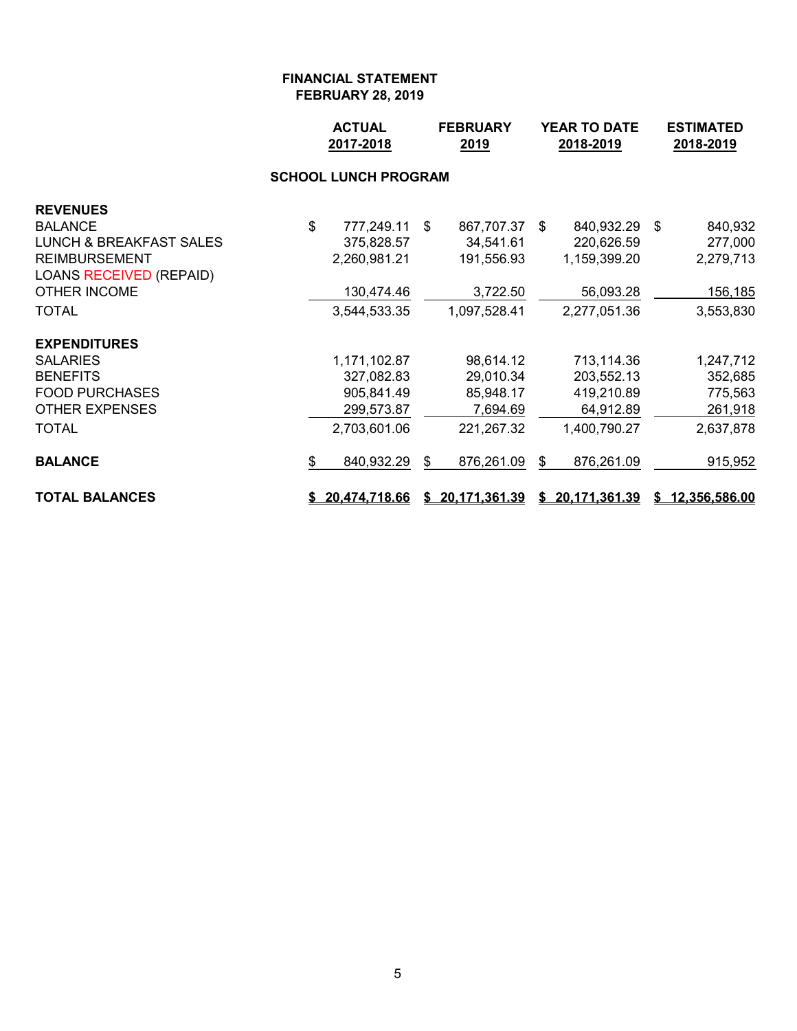|                                    |    | <b>ACTUAL</b><br><b>FEBRUARY</b><br>2017-2018<br>2019 |     | YEAR TO DATE<br>2018-2019 |    |                 | <b>ESTIMATED</b><br>2018-2019 |                 |
|------------------------------------|----|-------------------------------------------------------|-----|---------------------------|----|-----------------|-------------------------------|-----------------|
|                                    |    | <b>SCHOOL LUNCH PROGRAM</b>                           |     |                           |    |                 |                               |                 |
| <b>REVENUES</b>                    |    |                                                       |     |                           |    |                 |                               |                 |
| <b>BALANCE</b>                     | \$ | 777,249.11                                            | -\$ | 867,707.37                | \$ | 840,932.29 \$   |                               | 840,932         |
| <b>LUNCH &amp; BREAKFAST SALES</b> |    | 375,828.57                                            |     | 34,541.61                 |    | 220,626.59      |                               | 277,000         |
| <b>REIMBURSEMENT</b>               |    | 2,260,981.21                                          |     | 191,556.93                |    | 1,159,399.20    |                               | 2,279,713       |
| <b>LOANS RECEIVED (REPAID)</b>     |    |                                                       |     |                           |    |                 |                               |                 |
| <b>OTHER INCOME</b>                |    | 130,474.46                                            |     | 3,722.50                  |    | 56,093.28       |                               | <u>156,185</u>  |
| <b>TOTAL</b>                       |    | 3,544,533.35                                          |     | 1,097,528.41              |    | 2,277,051.36    |                               | 3,553,830       |
| <b>EXPENDITURES</b>                |    |                                                       |     |                           |    |                 |                               |                 |
| <b>SALARIES</b>                    |    | 1,171,102.87                                          |     | 98,614.12                 |    | 713,114.36      |                               | 1,247,712       |
| <b>BENEFITS</b>                    |    | 327,082.83                                            |     | 29,010.34                 |    | 203,552.13      |                               | 352,685         |
| <b>FOOD PURCHASES</b>              |    | 905,841.49                                            |     | 85,948.17                 |    | 419,210.89      |                               | 775,563         |
| <b>OTHER EXPENSES</b>              |    | 299,573.87                                            |     | 7,694.69                  |    | 64,912.89       |                               | 261,918         |
| <b>TOTAL</b>                       |    | 2,703,601.06                                          |     | 221,267.32                |    | 1,400,790.27    |                               | 2,637,878       |
| <b>BALANCE</b>                     | \$ | 840,932.29                                            | \$  | 876,261.09                | \$ | 876,261.09      |                               | 915,952         |
| <b>TOTAL BALANCES</b>              |    | \$20,474,718.66                                       |     | \$20,171,361.39           |    | \$20,171,361.39 |                               | \$12,356,586.00 |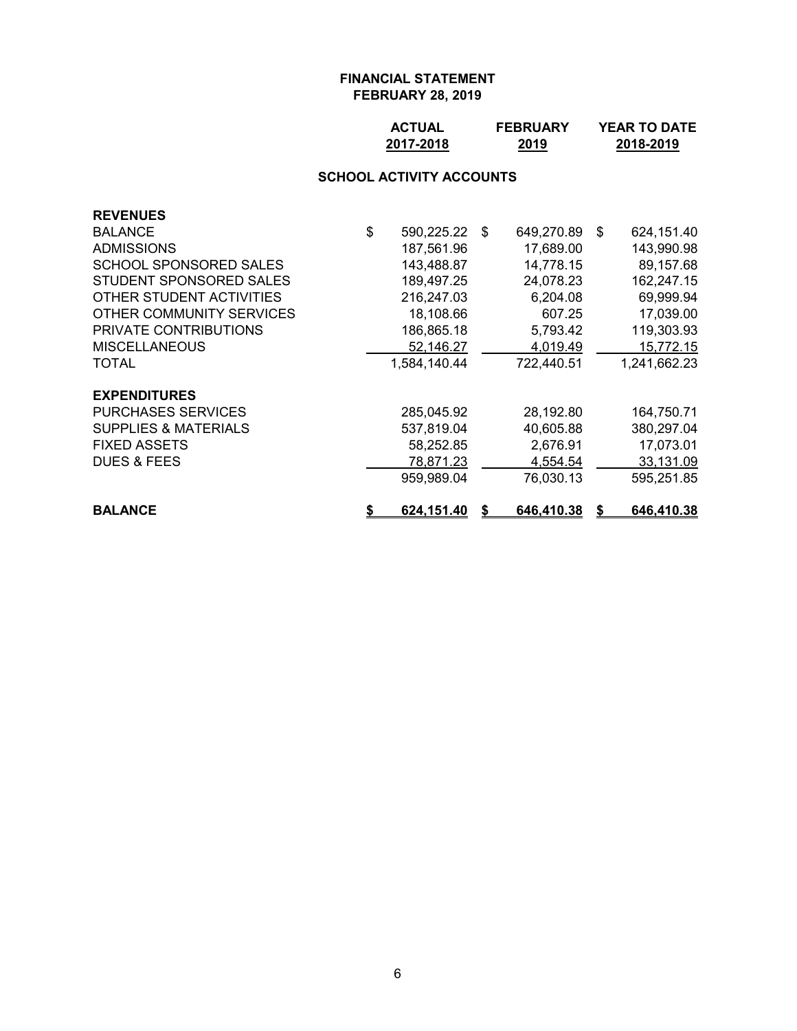| <b>ACTUAL</b> | <b>FEBRUARY</b> | <b>YEAR TO DATE</b> |
|---------------|-----------------|---------------------|
| 2017-2018     | 2019            | 2018-2019           |

# **SCHOOL ACTIVITY ACCOUNTS**

| <b>REVENUES</b>                 |                         |    |            |    |              |
|---------------------------------|-------------------------|----|------------|----|--------------|
| <b>BALANCE</b>                  | \$<br>590,225.22        | \$ | 649,270.89 | -S | 624,151.40   |
| <b>ADMISSIONS</b>               | 187,561.96              |    | 17,689.00  |    | 143,990.98   |
| <b>SCHOOL SPONSORED SALES</b>   | 143,488.87              |    | 14,778.15  |    | 89,157.68    |
| STUDENT SPONSORED SALES         | 189,497.25              |    | 24,078.23  |    | 162,247.15   |
| OTHER STUDENT ACTIVITIES        | 216,247.03              |    | 6,204.08   |    | 69,999.94    |
| OTHER COMMUNITY SERVICES        | 18,108.66               |    | 607.25     |    | 17,039.00    |
| PRIVATE CONTRIBUTIONS           | 186,865.18              |    | 5,793.42   |    | 119,303.93   |
| <b>MISCELLANEOUS</b>            | 52,146.27               |    | 4,019.49   |    | 15,772.15    |
| TOTAL                           | 1,584,140.44            |    | 722,440.51 |    | 1,241,662.23 |
| <b>EXPENDITURES</b>             |                         |    |            |    |              |
| <b>PURCHASES SERVICES</b>       | 285,045.92              |    | 28,192.80  |    | 164,750.71   |
| <b>SUPPLIES &amp; MATERIALS</b> | 537,819.04              |    | 40,605.88  |    | 380,297.04   |
| <b>FIXED ASSETS</b>             | 58,252.85               |    | 2,676.91   |    | 17,073.01    |
| <b>DUES &amp; FEES</b>          | 78,871.23               |    | 4,554.54   |    | 33,131.09    |
|                                 | 959,989.04              |    | 76,030.13  |    | 595,251.85   |
| <b>BALANCE</b>                  | \$<br><u>624,151.40</u> | S  | 646,410.38 | S  | 646,410.38   |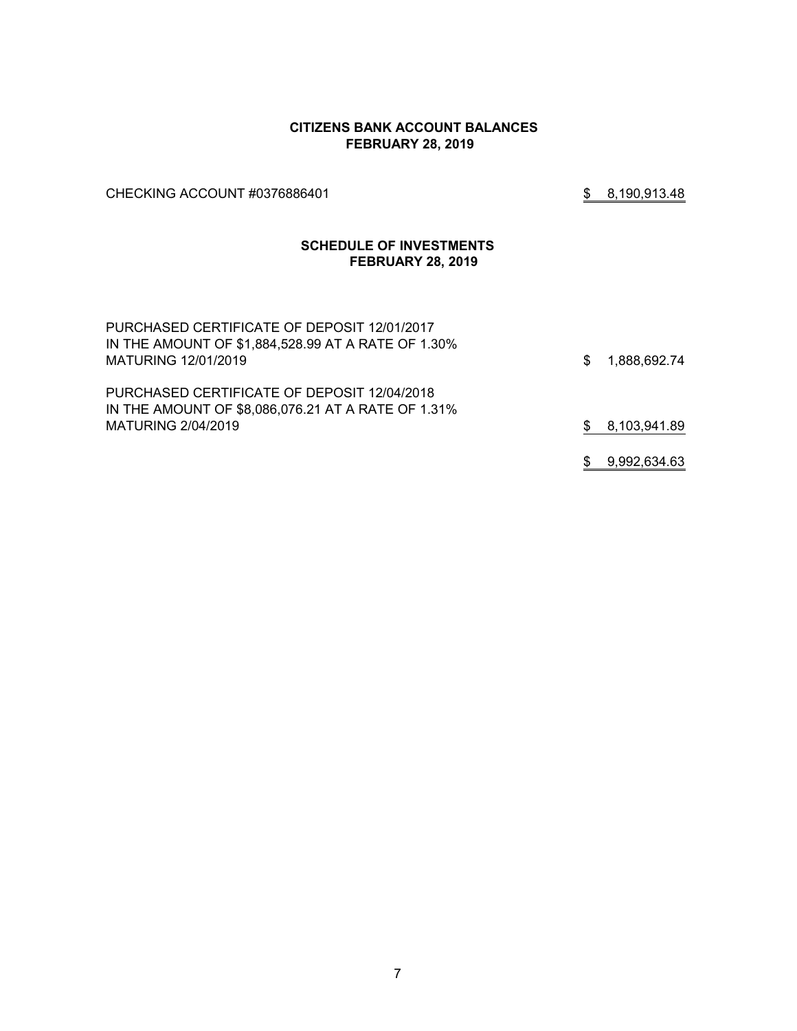#### **CITIZENS BANK ACCOUNT BALANCES FEBRUARY 28, 2019**

CHECKING ACCOUNT #0376886401 **\$ 8,190,913.48** 

### **SCHEDULE OF INVESTMENTS FEBRUARY 28, 2019**

| PURCHASED CERTIFICATE OF DEPOSIT 12/01/2017<br>IN THE AMOUNT OF \$1,884,528.99 AT A RATE OF 1.30%<br>MATURING 12/01/2019 | S. | 1,888,692.74 |
|--------------------------------------------------------------------------------------------------------------------------|----|--------------|
| PURCHASED CERTIFICATE OF DEPOSIT 12/04/2018<br>IN THE AMOUNT OF \$8,086,076.21 AT A RATE OF 1.31%                        |    |              |
| MATURING 2/04/2019                                                                                                       |    | 8,103,941.89 |
|                                                                                                                          |    | 9,992,634.63 |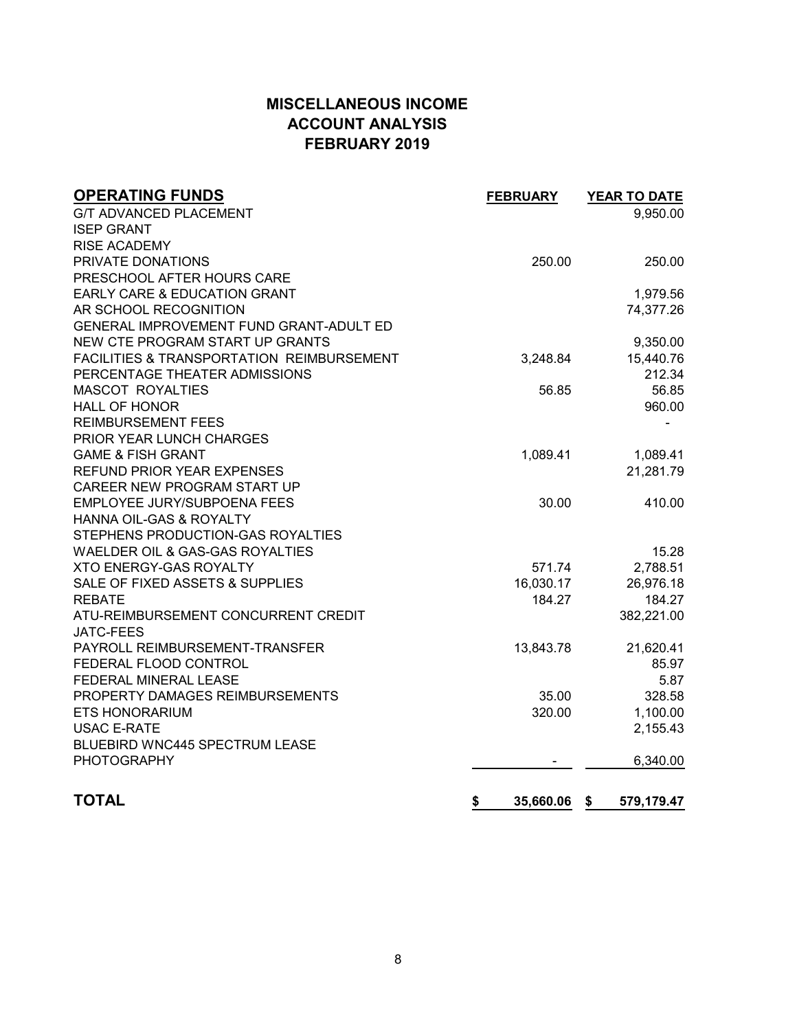# **MISCELLANEOUS INCOME ACCOUNT ANALYSIS FEBRUARY 2019**

| <b>OPERATING FUNDS</b>                    | <b>FEBRUARY</b> | <b>YEAR TO DATE</b> |
|-------------------------------------------|-----------------|---------------------|
| <b>G/T ADVANCED PLACEMENT</b>             |                 | 9,950.00            |
| <b>ISEP GRANT</b>                         |                 |                     |
| <b>RISE ACADEMY</b>                       |                 |                     |
| PRIVATE DONATIONS                         | 250.00          | 250.00              |
| PRESCHOOL AFTER HOURS CARE                |                 |                     |
| EARLY CARE & EDUCATION GRANT              |                 | 1,979.56            |
| AR SCHOOL RECOGNITION                     |                 | 74,377.26           |
| GENERAL IMPROVEMENT FUND GRANT-ADULT ED   |                 |                     |
| NEW CTE PROGRAM START UP GRANTS           |                 | 9,350.00            |
| FACILITIES & TRANSPORTATION REIMBURSEMENT | 3,248.84        | 15,440.76           |
| PERCENTAGE THEATER ADMISSIONS             |                 | 212.34              |
| <b>MASCOT ROYALTIES</b>                   | 56.85           | 56.85               |
| <b>HALL OF HONOR</b>                      |                 | 960.00              |
| <b>REIMBURSEMENT FEES</b>                 |                 |                     |
| PRIOR YEAR LUNCH CHARGES                  |                 |                     |
| <b>GAME &amp; FISH GRANT</b>              | 1,089.41        | 1,089.41            |
| <b>REFUND PRIOR YEAR EXPENSES</b>         |                 | 21,281.79           |
| CAREER NEW PROGRAM START UP               |                 |                     |
| EMPLOYEE JURY/SUBPOENA FEES               | 30.00           | 410.00              |
| <b>HANNA OIL-GAS &amp; ROYALTY</b>        |                 |                     |
| STEPHENS PRODUCTION-GAS ROYALTIES         |                 |                     |
| WAELDER OIL & GAS-GAS ROYALTIES           |                 | 15.28               |
| <b>XTO ENERGY-GAS ROYALTY</b>             | 571.74          | 2,788.51            |
| SALE OF FIXED ASSETS & SUPPLIES           | 16,030.17       | 26,976.18           |
| <b>REBATE</b>                             | 184.27          | 184.27              |
| ATU-REIMBURSEMENT CONCURRENT CREDIT       |                 | 382,221.00          |
| <b>JATC-FEES</b>                          |                 |                     |
| PAYROLL REIMBURSEMENT-TRANSFER            | 13,843.78       | 21,620.41           |
| FEDERAL FLOOD CONTROL                     |                 | 85.97               |
| FEDERAL MINERAL LEASE                     |                 | 5.87                |
| PROPERTY DAMAGES REIMBURSEMENTS           | 35.00           | 328.58              |
| <b>ETS HONORARIUM</b>                     | 320.00          | 1,100.00            |
| <b>USAC E-RATE</b>                        |                 | 2,155.43            |
| <b>BLUEBIRD WNC445 SPECTRUM LEASE</b>     |                 |                     |
| <b>PHOTOGRAPHY</b>                        |                 | 6,340.00            |
| <b>TOTAL</b>                              | \$<br>35,660.06 | 579,179.47<br>\$    |
|                                           |                 |                     |